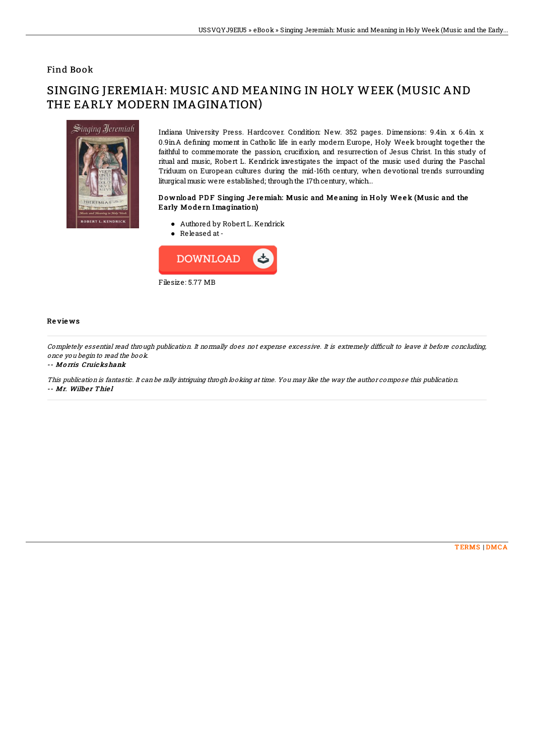## Find Book

# SINGING JEREMIAH: MUSIC AND MEANING IN HOLY WEEK (MUSIC AND THE EARLY MODERN IMAGINATION)



Indiana University Press. Hardcover. Condition: New. 352 pages. Dimensions: 9.4in. x 6.4in. x 0.9in.A defining moment in Catholic life in early modern Europe, Holy Week brought together the faithful to commemorate the passion, crucifixion, and resurrection of Jesus Christ. In this study of ritual and music, Robert L. Kendrick investigates the impact of the music used during the Paschal Triduum on European cultures during the mid-16th century, when devotional trends surrounding liturgical music were established; through the 17th century, which...

### Download PDF Singing Jeremiah: Music and Meaning in Holy Week (Music and the Early Mo de rn Imagination)

- Authored by Robert L. Kendrick
- Released at-



#### Re vie ws

Completely essential read through publication. It normally does not expense excessive. It is extremely difficult to leave it before concluding, once you begin to read the book.

#### -- Mo rris Cruicks hank

This publication is fantastic. It can be rally intriguing throgh looking at time. You may like the way the author compose this publication. -- Mr. Wilber Thiel